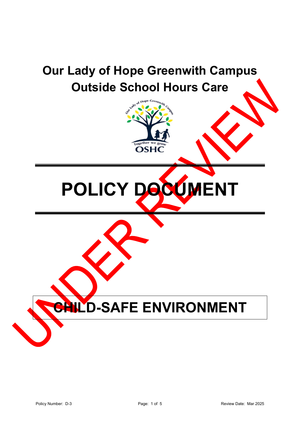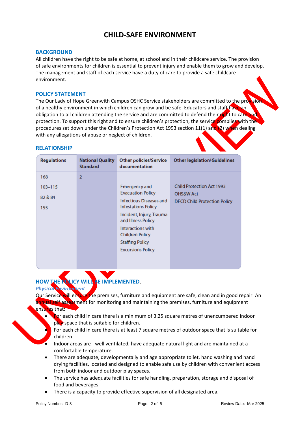# **CHILD-SAFE ENVIRONMENT**

### **BACKGROUND**

All children have the right to be safe at home, at school and in their childcare service. The provision of safe environments for children is essential to prevent injury and enable them to grow and develop. The management and staff of each service have a duty of care to provide a safe childcare environment.

#### **POLICY STATEMENT**

The Our Lady of Hope Greenwith Campus OSHC Service stakeholders are committed to the provision of a healthy environment in which children can grow and be safe. Educators and staff have an obligation to all children attending the service and are committed to defend their right to care and protection. To support this right and to ensure children's protection, the service complies with the procedures set down under the Children's Protection Act 1993 section 11(1) and (2) when dealing with any allegations of abuse or neglect of children.

#### **RELATIONSHIP**

| <b>Regulations</b> | <b>National Quality</b><br><b>Standard</b> | <b>Other policies/Service</b><br>documentation        | <b>Other legislation/Guidelines</b>                      |
|--------------------|--------------------------------------------|-------------------------------------------------------|----------------------------------------------------------|
| 168                | $\overline{2}$                             |                                                       |                                                          |
| $103 - 115$        |                                            | Emergency and<br><b>Evacuation Policy</b>             | <b>Child Protection Act 1993</b><br><b>OHS&amp;W Act</b> |
| 82 & 84<br>155     |                                            | Infectious Diseases and<br><b>Infestations Policy</b> | <b>DECD Child Protection Policy</b>                      |
|                    |                                            | Incident, Injury, Trauma<br>and Illness Policy        |                                                          |
|                    |                                            | Interactions with<br>Children Policy                  |                                                          |
|                    |                                            | <b>Staffing Policy</b>                                |                                                          |
|                    |                                            | <b>Excursions Policy</b>                              |                                                          |

# **HOW THE POLICY WILL BE IMPLEMENTED**.

*Physical Environment*

Our Service will ensure the premises, furniture and equipment are safe, clean and in good repair. An annual self assessment for monitoring and maintaining the premises, furniture and equipment ensures that:

For each child in care there is a minimum of 3.25 square metres of unencumbered indoor play space that is suitable for children.

• For each child in care there is at least 7 square metres of outdoor space that is suitable for children.

- Indoor areas are well ventilated, have adequate natural light and are maintained at a comfortable temperature.
- There are adequate, developmentally and age appropriate toilet, hand washing and hand drying facilities, located and designed to enable safe use by children with convenient access from both indoor and outdoor play spaces.
- The service has adequate facilities for safe handling, preparation, storage and disposal of food and beverages.
- There is a capacity to provide effective supervision of all designated area.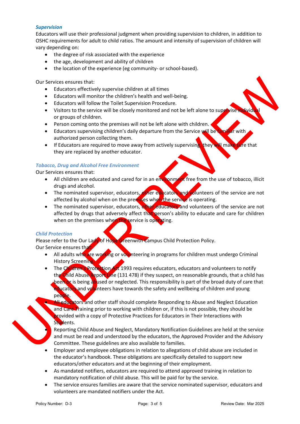### *Supervision*

Educators will use their professional judgment when providing supervision to children, in addition to OSHC requirements for adult to child ratios. The amount and intensity of supervision of children will vary depending on:

- the degree of risk associated with the experience
- the age, development and ability of children
- the location of the experience (eg community- or school-based).

Our Services ensures that:

- Educators effectively supervise children at all times
- Educators will monitor the children's health and well-being.
- Educators will follow the Toilet Supervision Procedure.
- Visitors to the service will be closely monitored and not be left alone to supervise in or groups of children.
- Person coming onto the premises will not be left alone with children.
- Educators supervising children's daily departure from the Service will be familiar with authorized person collecting them.
- If Educators are required to move away from actively supervising, they will make sure that they are replaced by another educator.

# *Tobacco, Drug and Alcohol Free Environment*

Our Services ensures that:

- All children are educated and cared for in an environment free from the use of tobacco, illicit drugs and alcohol.
- The nominated supervisor, educators, other educators and volunteers of the service are not affected by alcohol when on the premises when the service is operating.
- The nominated supervisor, educators, other educators and volunteers of the service are not affected by drugs that adversely affect that person's ability to educate and care for children when on the premises when the service is operating.

#### *Child Protection*

Please refer to the Our Lady of Hope Greenwith Campus Child Protection Policy. Our Service ensures that

- All adults who are working or volunteering in programs for children must undergo Criminal History Screening.
- The Children's Protection Act 1993 requires educators, educators and volunteers to notify the Child Abuse Report Line (131 478) if they suspect, on reasonable grounds, that a child has been or is being abused or neglected. This responsibility is part of the broad duty of care that educators and volunteers have towards the safety and wellbeing of children and young people.
	- All educators and other staff should complete Responding to Abuse and Neglect Education and Care Training prior to working with children or, if this is not possible, they should be provided with a copy of Protective Practices for Educators in Their Interactions with Students.

• Reporting Child Abuse and Neglect, Mandatory Notification Guidelines are held at the service and must be read and understood by the educators, the Approved Provider and the Advisory Committee. These guidelines are also available to families.

- Employer and employee obligations in relation to allegations of child abuse are included in the educator's handbook. These obligations are specifically detailed to support new educators/other educators and at the beginning of their employment.
- As mandated notifiers, educators are required to attend approved training in relation to mandatory notification of child abuse. This will be paid for by the service.
- The service ensures families are aware that the service nominated supervisor, educators and volunteers are mandated notifiers under the Act.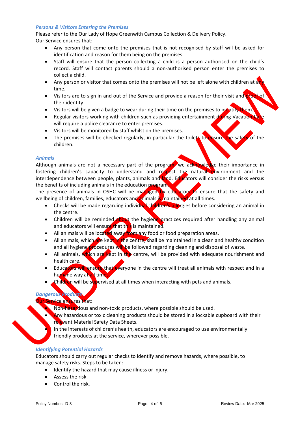#### *Persons & Visitors Entering the Premises*

Please refer to the Our Lady of Hope Greenwith Campus Collection & Delivery Policy.

- Our Service ensures that:
	- Any person that come onto the premises that is not recognised by staff will be asked for identification and reason for them being on the premises.
	- Staff will ensure that the person collecting a child is a person authorised on the child's record. Staff will contact parents should a non-authorised person enter the premises to collect a child.
	- Any person or visitor that comes onto the premises will not be left alone with children at an time.
	- Visitors are to sign in and out of the Service and provide a reason for their visit and proof of their identity.
	- Visitors will be given a badge to wear during their time on the premises to identify them.
	- Regular visitors working with children such as providing entertainment during Vacation will require a police clearance to enter premises.
	- Visitors will be monitored by staff whilst on the premises.
	- The premises will be checked regularly, in particular the toilets to ensure the safety of the children.

#### *Animals*

Although animals are not a necessary part of the program, we acknowledge their importance in fostering children's capacity to understand and respect the natural environment and the interdependence between people, plants, animals and land. Educators will consider the risks versus the benefits of including animals in the education program.

The presence of animals in OSHC will be managed by educators to ensure that the safety and wellbeing of children, families, educators and animals is maintained at all times.

- Checks will be made regarding individual children's allergies before considering an animal in the centre.
- Children will be reminded about the hygiene practices required after handling any animal and educators will ensure that this is maintained.
- All animals will be located away from any food or food preparation areas.
- All animals, which are kept in the centre, shall be maintained in a clean and healthy condition and all hygiene procedures will be followed regarding cleaning and disposal of waste.
- All animals, which are kept in the centre, will be provided with adequate nourishment and health care.
- Educators will ensure that everyone in the centre will treat all animals with respect and in a humane way at all times
- **Children** will be supervised at all times when interacting with pets and animals.

# *Dangerous Products*

# ur Service ensures that:

- Non-hazardous and non-toxic products, where possible should be used.
- Any hazardous or toxic cleaning products should be stored in a lockable cupboard with their relevant Material Safety Data Sheets.

• In the interests of children's health, educators are encouraged to use environmentally friendly products at the service, wherever possible.

#### *Identifying Potential Hazards*

Educators should carry out regular checks to identify and remove hazards, where possible, to manage safety risks. Steps to be taken:

- Identify the hazard that may cause illness or injury.
- Assess the risk.
- Control the risk.